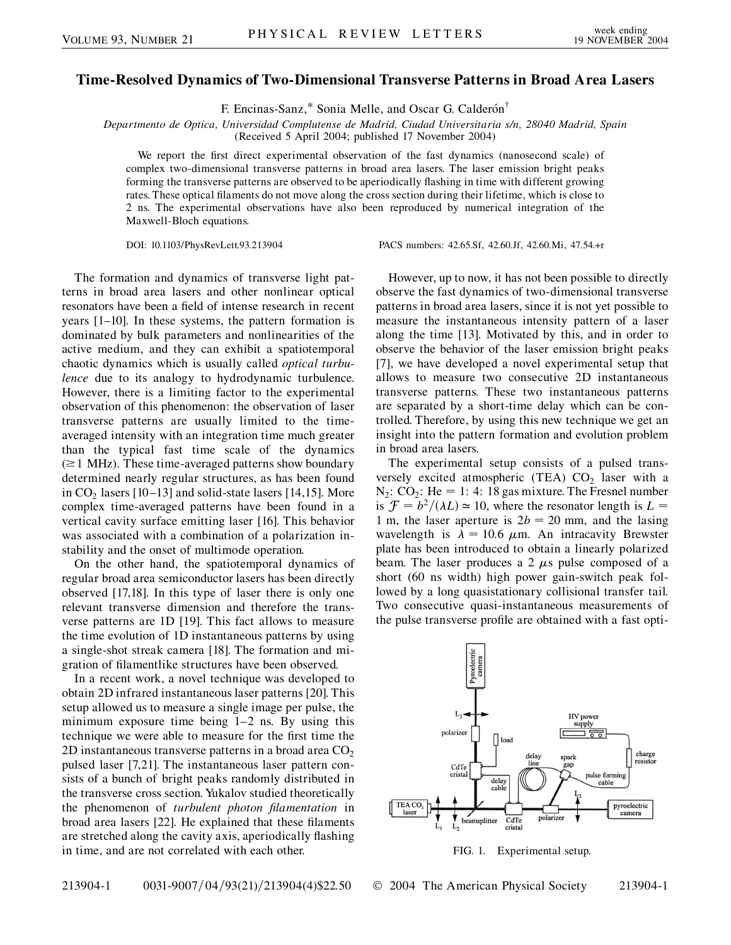## **Time-Resolved Dynamics of Two-Dimensional Transverse Patterns in Broad Area Lasers**

F. Encinas-Sanz,\* Sonia Melle, and Oscar G. Calderón<sup>†</sup>

*Departmento de Optica, Universidad Complutense de Madrid, Ciudad Universitaria s/n, 28040 Madrid, Spain*

(Received 5 April 2004; published 17 November 2004)

We report the first direct experimental observation of the fast dynamics (nanosecond scale) of complex two-dimensional transverse patterns in broad area lasers. The laser emission bright peaks forming the transverse patterns are observed to be aperiodically flashing in time with different growing rates. These optical filaments do not move along the cross section during their lifetime, which is close to 2 ns. The experimental observations have also been reproduced by numerical integration of the Maxwell-Bloch equations.

DOI: 10.1103/PhysRevLett.93.213904 PACS numbers: 42.65.Sf, 42.60.Jf, 42.60.Mi, 47.54.+r

The formation and dynamics of transverse light patterns in broad area lasers and other nonlinear optical resonators have been a field of intense research in recent years [1–10]. In these systems, the pattern formation is dominated by bulk parameters and nonlinearities of the active medium, and they can exhibit a spatiotemporal chaotic dynamics which is usually called *optical turbulence* due to its analogy to hydrodynamic turbulence. However, there is a limiting factor to the experimental observation of this phenomenon: the observation of laser transverse patterns are usually limited to the timeaveraged intensity with an integration time much greater than the typical fast time scale of the dynamics  $(\geq 1$  MHz). These time-averaged patterns show boundary determined nearly regular structures, as has been found in  $CO<sub>2</sub>$  lasers [10–13] and solid-state lasers [14,15]. More complex time-averaged patterns have been found in a vertical cavity surface emitting laser [16]. This behavior was associated with a combination of a polarization instability and the onset of multimode operation.

On the other hand, the spatiotemporal dynamics of regular broad area semiconductor lasers has been directly observed [17,18]. In this type of laser there is only one relevant transverse dimension and therefore the transverse patterns are 1D [19]. This fact allows to measure the time evolution of 1D instantaneous patterns by using a single-shot streak camera [18]. The formation and migration of filamentlike structures have been observed.

In a recent work, a novel technique was developed to obtain 2D infrared instantaneous laser patterns [20]. This setup allowed us to measure a single image per pulse, the minimum exposure time being 1–2 ns. By using this technique we were able to measure for the first time the 2D instantaneous transverse patterns in a broad area  $CO<sub>2</sub>$ pulsed laser [7,21]. The instantaneous laser pattern consists of a bunch of bright peaks randomly distributed in the transverse cross section. Yukalov studied theoretically the phenomenon of *turbulent photon filamentation* in broad area lasers [22]. He explained that these filaments are stretched along the cavity axis, aperiodically flashing in time, and are not correlated with each other.

However, up to now, it has not been possible to directly observe the fast dynamics of two-dimensional transverse patterns in broad area lasers, since it is not yet possible to measure the instantaneous intensity pattern of a laser along the time [13]. Motivated by this, and in order to observe the behavior of the laser emission bright peaks [7], we have developed a novel experimental setup that allows to measure two consecutive 2D instantaneous transverse patterns. These two instantaneous patterns are separated by a short-time delay which can be controlled. Therefore, by using this new technique we get an insight into the pattern formation and evolution problem in broad area lasers.

The experimental setup consists of a pulsed transversely excited atmospheric (TEA)  $CO<sub>2</sub>$  laser with a  $N_2$ :  $CO_2$ : He = 1: 4: 18 gas mixture. The Fresnel number is  $\mathcal{F} = b^2/(\lambda L) \approx 10$ , where the resonator length is  $L =$ 1 m, the laser aperture is  $2b = 20$  mm, and the lasing wavelength is  $\lambda = 10.6 \mu m$ . An intracavity Brewster plate has been introduced to obtain a linearly polarized beam. The laser produces a 2  $\mu$ s pulse composed of a short (60 ns width) high power gain-switch peak followed by a long quasistationary collisional transfer tail. Two consecutive quasi-instantaneous measurements of the pulse transverse profile are obtained with a fast opti-



FIG. 1. Experimental setup.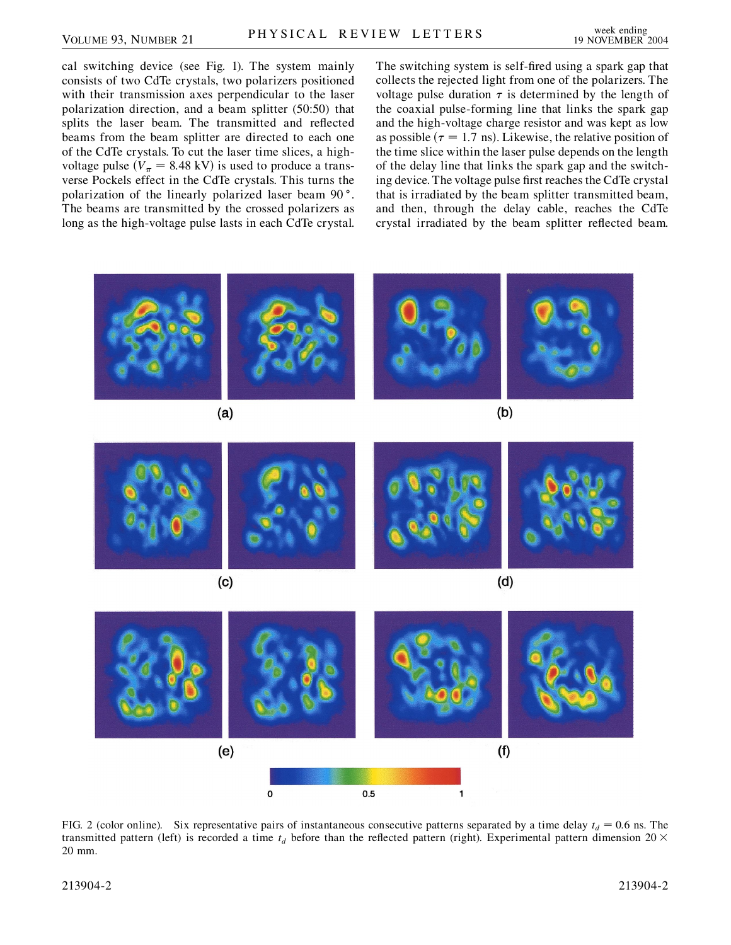cal switching device (see Fig. 1). The system mainly consists of two CdTe crystals, two polarizers positioned with their transmission axes perpendicular to the laser polarization direction, and a beam splitter (50:50) that splits the laser beam. The transmitted and reflected beams from the beam splitter are directed to each one of the CdTe crystals. To cut the laser time slices, a highvoltage pulse  $(V_{\pi} = 8.48 \text{ kV})$  is used to produce a transverse Pockels effect in the CdTe crystals. This turns the polarization of the linearly polarized laser beam 90°. The beams are transmitted by the crossed polarizers as long as the high-voltage pulse lasts in each CdTe crystal.

The switching system is self-fired using a spark gap that collects the rejected light from one of the polarizers. The voltage pulse duration  $\tau$  is determined by the length of the coaxial pulse-forming line that links the spark gap and the high-voltage charge resistor and was kept as low as possible  $(\tau = 1.7 \text{ ns})$ . Likewise, the relative position of the time slice within the laser pulse depends on the length of the delay line that links the spark gap and the switching device. The voltage pulse first reaches the CdTe crystal that is irradiated by the beam splitter transmitted beam, and then, through the delay cable, reaches the CdTe crystal irradiated by the beam splitter reflected beam.



FIG. 2 (color online). Six representative pairs of instantaneous consecutive patterns separated by a time delay  $t_d = 0.6$  ns. The transmitted pattern (left) is recorded a time  $t_d$  before than the reflected pattern (right). Experimental pattern dimension 20  $\times$ 20 mm.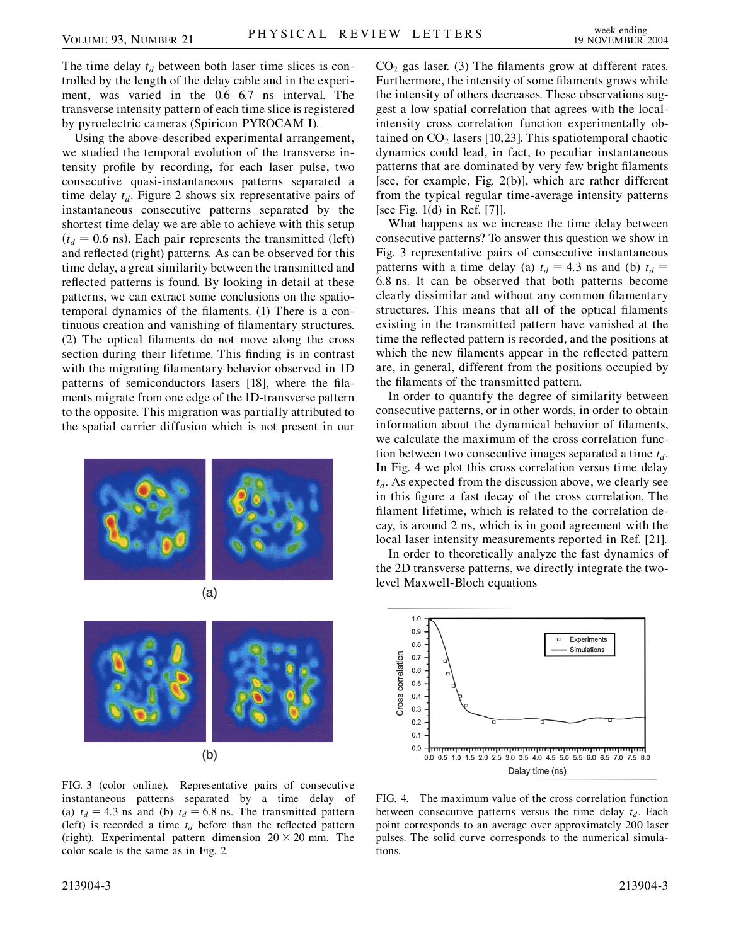The time delay  $t_d$  between both laser time slices is controlled by the length of the delay cable and in the experiment, was varied in the 0.6–6.7 ns interval. The transverse intensity pattern of each time slice is registered by pyroelectric cameras (Spiricon PYROCAM I).

Using the above-described experimental arrangement, we studied the temporal evolution of the transverse intensity profile by recording, for each laser pulse, two consecutive quasi-instantaneous patterns separated a time delay  $t_d$ . Figure 2 shows six representative pairs of instantaneous consecutive patterns separated by the shortest time delay we are able to achieve with this setup  $(t_d = 0.6 \text{ ns})$ . Each pair represents the transmitted (left) and reflected (right) patterns. As can be observed for this time delay, a great similarity between the transmitted and reflected patterns is found. By looking in detail at these patterns, we can extract some conclusions on the spatiotemporal dynamics of the filaments. (1) There is a continuous creation and vanishing of filamentary structures. (2) The optical filaments do not move along the cross section during their lifetime. This finding is in contrast with the migrating filamentary behavior observed in 1D patterns of semiconductors lasers [18], where the filaments migrate from one edge of the 1D-transverse pattern to the opposite. This migration was partially attributed to the spatial carrier diffusion which is not present in our





FIG. 3 (color online). Representative pairs of consecutive instantaneous patterns separated by a time delay of (a)  $t_d = 4.3$  ns and (b)  $t_d = 6.8$  ns. The transmitted pattern (left) is recorded a time  $t_d$  before than the reflected pattern (right). Experimental pattern dimension  $20 \times 20$  mm. The color scale is the same as in Fig. 2.

 $CO<sub>2</sub>$  gas laser. (3) The filaments grow at different rates. Furthermore, the intensity of some filaments grows while the intensity of others decreases. These observations suggest a low spatial correlation that agrees with the localintensity cross correlation function experimentally obtained on  $CO<sub>2</sub>$  lasers [10,23]. This spatiotemporal chaotic dynamics could lead, in fact, to peculiar instantaneous patterns that are dominated by very few bright filaments [see, for example, Fig. 2(b)], which are rather different from the typical regular time-average intensity patterns [see Fig. 1(d) in Ref. [7]].

What happens as we increase the time delay between consecutive patterns? To answer this question we show in Fig. 3 representative pairs of consecutive instantaneous patterns with a time delay (a)  $t_d = 4.3$  ns and (b)  $t_d =$ 6*:*8 ns. It can be observed that both patterns become clearly dissimilar and without any common filamentary structures. This means that all of the optical filaments existing in the transmitted pattern have vanished at the time the reflected pattern is recorded, and the positions at which the new filaments appear in the reflected pattern are, in general, different from the positions occupied by the filaments of the transmitted pattern.

In order to quantify the degree of similarity between consecutive patterns, or in other words, in order to obtain information about the dynamical behavior of filaments, we calculate the maximum of the cross correlation function between two consecutive images separated a time  $t_d$ . In Fig. 4 we plot this cross correlation versus time delay  $t_d$ . As expected from the discussion above, we clearly see in this figure a fast decay of the cross correlation. The filament lifetime, which is related to the correlation decay, is around 2 ns, which is in good agreement with the local laser intensity measurements reported in Ref. [21].

In order to theoretically analyze the fast dynamics of the 2D transverse patterns, we directly integrate the twolevel Maxwell-Bloch equations



FIG. 4. The maximum value of the cross correlation function between consecutive patterns versus the time delay  $t_d$ . Each point corresponds to an average over approximately 200 laser pulses. The solid curve corresponds to the numerical simulations.